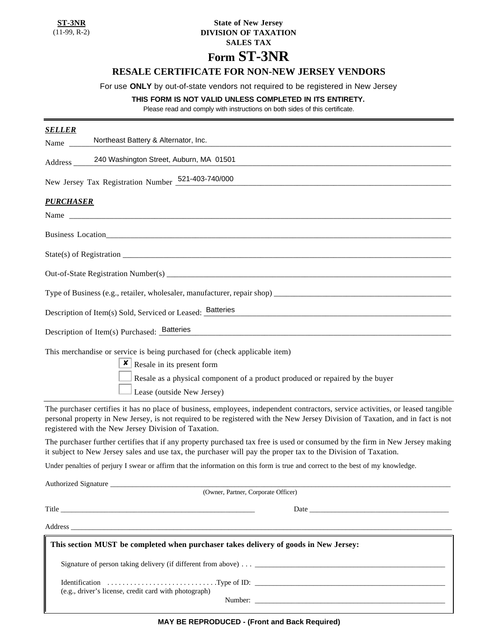**ST-3NR** (11-99, R-2)

## **State of New Jersey DIVISION OF TAXATION SALES TAX Form ST-3NR**

# **RESALE CERTIFICATE FOR NON-NEW JERSEY VENDORS**

## For use **ONLY** by out-of-state vendors not required to be registered in New Jersey

### **THIS FORM IS NOT VALID UNLESS COMPLETED IN ITS ENTIRETY.**

Please read and comply with instructions on both sides of this certificate.

| <b>SELLER</b><br>Northeast Battery & Alternator, Inc.                                                                                                                                                                                                                                                                                                                                                                                                                 |
|-----------------------------------------------------------------------------------------------------------------------------------------------------------------------------------------------------------------------------------------------------------------------------------------------------------------------------------------------------------------------------------------------------------------------------------------------------------------------|
| Name $\frac{ }{ }$                                                                                                                                                                                                                                                                                                                                                                                                                                                    |
| 240 Washington Street, Auburn, MA 01501<br>Address $\overline{\phantom{a}}$                                                                                                                                                                                                                                                                                                                                                                                           |
| New Jersey Tax Registration Number 521-403-740/000                                                                                                                                                                                                                                                                                                                                                                                                                    |
| <b>PURCHASER</b>                                                                                                                                                                                                                                                                                                                                                                                                                                                      |
| Name $\qquad \qquad$                                                                                                                                                                                                                                                                                                                                                                                                                                                  |
| Business Location                                                                                                                                                                                                                                                                                                                                                                                                                                                     |
|                                                                                                                                                                                                                                                                                                                                                                                                                                                                       |
|                                                                                                                                                                                                                                                                                                                                                                                                                                                                       |
|                                                                                                                                                                                                                                                                                                                                                                                                                                                                       |
| Description of Item(s) Sold, Serviced or Leased: <b>Batteries</b>                                                                                                                                                                                                                                                                                                                                                                                                     |
| Description of Item(s) Purchased: Batteries                                                                                                                                                                                                                                                                                                                                                                                                                           |
| This merchandise or service is being purchased for (check applicable item)<br><b>x</b> Resale in its present form<br>Resale as a physical component of a product produced or repaired by the buyer<br>Lease (outside New Jersey)                                                                                                                                                                                                                                      |
| The purchaser certifies it has no place of business, employees, independent contractors, service activities, or leased tangible<br>personal property in New Jersey, is not required to be registered with the New Jersey Division of Taxation, and in fact is not<br>registered with the New Jersey Division of Taxation.                                                                                                                                             |
| The purchaser further certifies that if any property purchased tax free is used or consumed by the firm in New Jersey making<br>it subject to New Jersey sales and use tax, the purchaser will pay the proper tax to the Division of Taxation.                                                                                                                                                                                                                        |
| Under penalties of perjury I swear or affirm that the information on this form is true and correct to the best of my knowledge.                                                                                                                                                                                                                                                                                                                                       |
| <b>Authorized Signature</b><br>(Owner, Partner, Corporate Officer)                                                                                                                                                                                                                                                                                                                                                                                                    |
| Title <b>The Community Community</b> and the community of the community of the community of the community of the community of the community of the community of the community of the community of the community of the community of<br>Date has been assessed by the second service of the service of the service of the service of the service of the service of the service of the service of the service of the service of the service of the service of the servi |
|                                                                                                                                                                                                                                                                                                                                                                                                                                                                       |
| This section MUST be completed when purchaser takes delivery of goods in New Jersey:                                                                                                                                                                                                                                                                                                                                                                                  |
|                                                                                                                                                                                                                                                                                                                                                                                                                                                                       |
| (e.g., driver's license, credit card with photograph)                                                                                                                                                                                                                                                                                                                                                                                                                 |
| Number: Number:                                                                                                                                                                                                                                                                                                                                                                                                                                                       |